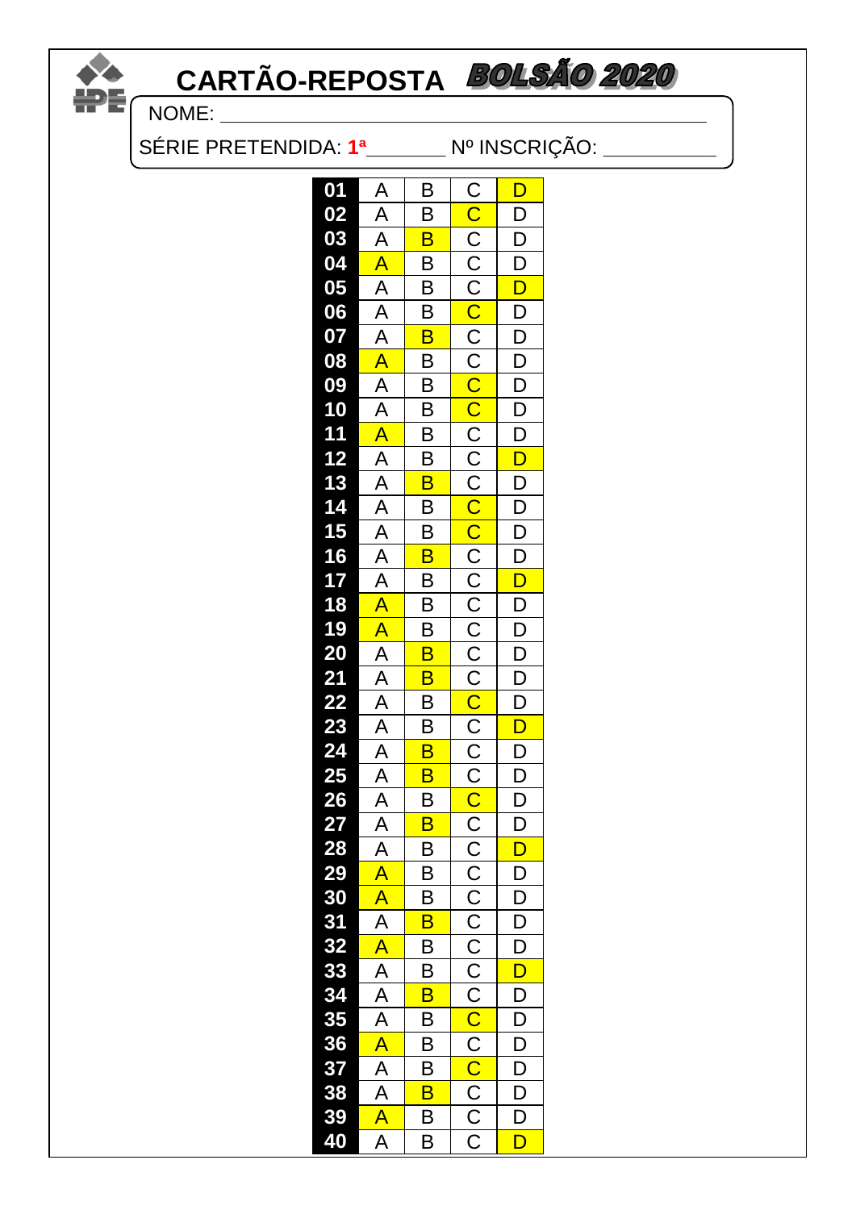# CARTÃO-REPOSTA BOLSÃO 2020 DE CARI

| 01             | A                                                  | B                       | C                                                           | D                       |  |
|----------------|----------------------------------------------------|-------------------------|-------------------------------------------------------------|-------------------------|--|
| 02             |                                                    | B                       | $\overline{\mathsf{C}}$                                     | D                       |  |
| 03             | $\frac{A}{A}$                                      | B                       |                                                             | D                       |  |
| 04             | A                                                  | $\overline{\mathsf{B}}$ | $\frac{1}{2}$                                               | $\overline{\mathsf{D}}$ |  |
| 05             |                                                    | $\overline{\mathsf{B}}$ |                                                             | $\overline{\mathsf{D}}$ |  |
| 06             | $\frac{A}{A}$                                      | B                       | $\overline{\text{C}}$                                       | D                       |  |
| 07             | $\overline{\mathsf{A}}$                            | $\overline{\mathsf{B}}$ |                                                             | $\overline{\mathsf{D}}$ |  |
| 08             | $\overline{\mathsf{A}}$                            | B                       |                                                             | D                       |  |
| 09             | $\frac{A}{A}$                                      | $\overline{\mathsf{B}}$ |                                                             | $\overline{\mathsf{D}}$ |  |
| 10             |                                                    | $\overline{\mathsf{B}}$ |                                                             | $\overline{\mathsf{D}}$ |  |
| 11             | $\overline{\mathsf{A}}$                            | $\overline{\mathsf{B}}$ | C<br>C<br>C<br>C<br>C<br>C                                  | $\overline{\mathsf{D}}$ |  |
| 12             |                                                    | $\overline{\mathsf{B}}$ | $\overline{\mathsf{C}}$                                     | $\overline{\mathsf{D}}$ |  |
| 13<br>14<br>15 |                                                    | B                       |                                                             | D                       |  |
|                |                                                    | B                       |                                                             | $\overline{D}$          |  |
|                |                                                    | $\overline{\mathsf{B}}$ |                                                             | $\overline{\mathsf{D}}$ |  |
| 16             | $\frac{A}{A}$ $\frac{A}{A}$ $\frac{A}{A}$          | $\overline{\mathsf{B}}$ | $\overline{C}$ $\overline{C}$ $\overline{C}$ $\overline{C}$ | $\overline{\mathsf{D}}$ |  |
| 17             |                                                    | $\overline{\mathsf{B}}$ |                                                             | $\overline{\mathsf{D}}$ |  |
| 18             | A                                                  | $\overline{\mathsf{B}}$ |                                                             | D                       |  |
| 19             |                                                    | B                       |                                                             | $\overline{D}$          |  |
| 20             |                                                    | $\overline{\mathsf{B}}$ | $rac{C}{C}$                                                 | $\overline{\mathsf{D}}$ |  |
| 21             | $\frac{A}{A}$                                      | $\overline{\mathsf{B}}$ |                                                             | $\overline{\mathsf{D}}$ |  |
| 22             | $\frac{A}{A}$                                      | $\overline{\mathsf{B}}$ | $\overline{\text{C}}$                                       | $\overline{\mathsf{D}}$ |  |
| 23             |                                                    | B                       | $\overline{C}$                                              | D                       |  |
| 24             | $\frac{1}{A}$                                      | $\overline{\mathsf{B}}$ |                                                             | $\overline{D}$          |  |
| 25             |                                                    | $\overline{\mathsf{B}}$ |                                                             | $\overline{\mathsf{D}}$ |  |
| 26             | $\overline{A}$<br>$\overline{A}$<br>$\overline{A}$ | B                       | $\frac{1}{2}$                                               | $\overline{\mathsf{D}}$ |  |
| 27             |                                                    | B                       |                                                             | $\overline{\mathsf{D}}$ |  |
| 28             |                                                    | B                       | $\overline{\text{c}}$                                       | D                       |  |
| 29             | $\overline{\mathsf{A}}$                            | $\overline{B}$          |                                                             | D                       |  |
| 30             | $\overline{\mathsf{A}}$                            | B                       | $\frac{\overline{C}}{\overline{C}}$                         | $\overline{D}$          |  |
| 31             | $\overline{\mathsf{A}}$                            | B                       |                                                             | D                       |  |
| 32             | A                                                  | B                       |                                                             | $\overline{\mathsf{D}}$ |  |
| 33<br>34       | $\frac{\overline{A}}{\overline{A}}$                | B                       | $\frac{\overline{C}}{\overline{C}}$                         | $\overline{\mathsf{D}}$ |  |
|                |                                                    | $\overline{\mathsf{B}}$ |                                                             | D                       |  |
| 35             |                                                    | B                       | $\overline{\text{C}}$                                       | D                       |  |
| 36             | A                                                  | В                       | $\frac{C}{C}$                                               | D                       |  |
| 37             | $\frac{\overline{A}}{\overline{A}}$                | B                       |                                                             | $\overline{\mathsf{D}}$ |  |
| 38             |                                                    | $\overline{\mathsf{B}}$ | $\overline{C}$                                              | D                       |  |
| 39             | A                                                  | B                       | $\overline{\overline{C}}$                                   | $\overline{\mathsf{D}}$ |  |
| 40             | $\overline{\mathsf{A}}$                            | $\overline{B}$          | $\overline{\text{c}}$                                       | D                       |  |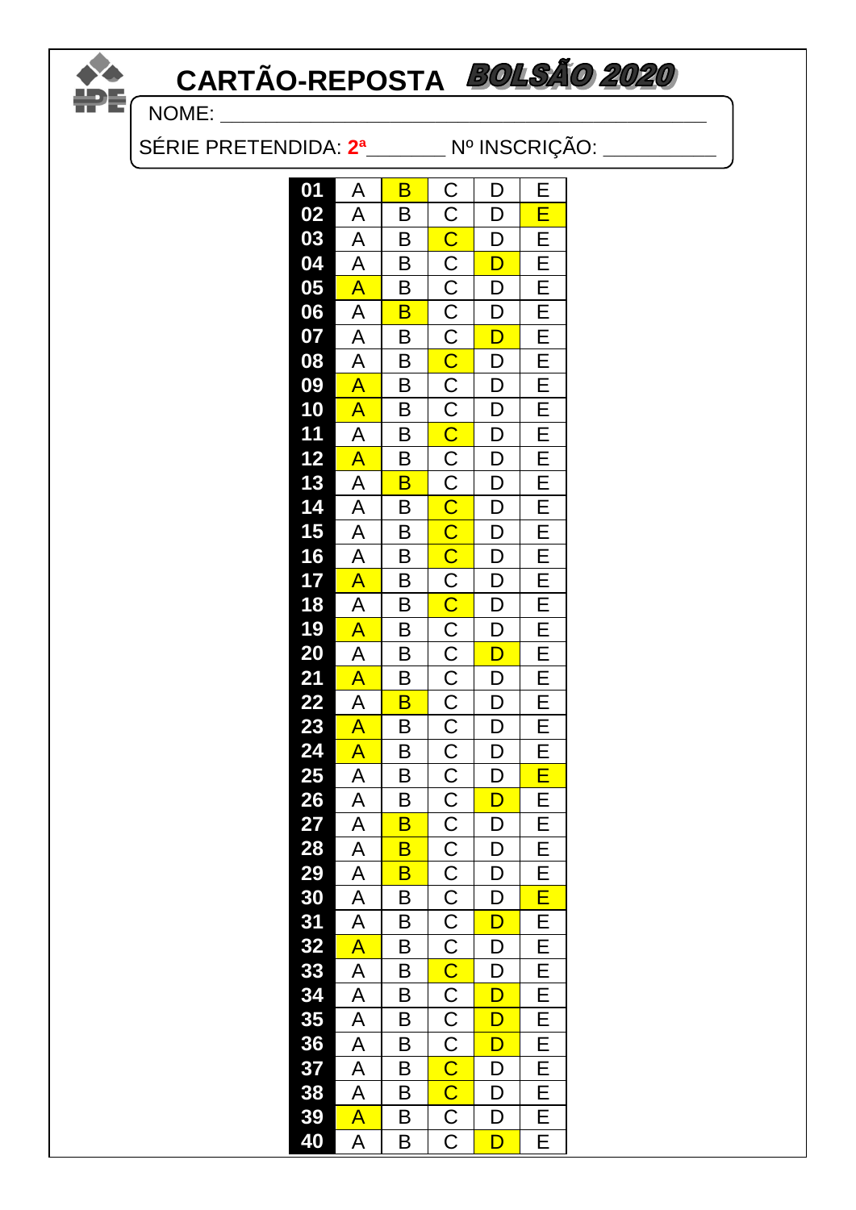# **CARTÃO-REPOSTA BOLSÃO 2020**<br>FREQUARE:

NOME: **\_\_\_\_\_\_\_\_\_\_\_\_\_\_\_\_\_\_\_\_\_\_\_\_\_\_\_\_\_\_\_\_\_\_\_\_\_\_\_\_\_\_\_**

SÉRIE PRETENDIDA: **2ª\_\_\_\_\_\_\_** Nº INSCRIÇÃO: **\_\_\_\_\_\_\_\_\_\_**

| 01                         | A                                                             | B                       | C                                                                       | D                        | E                |  |
|----------------------------|---------------------------------------------------------------|-------------------------|-------------------------------------------------------------------------|--------------------------|------------------|--|
| 02                         | Ā                                                             | B                       | $\overline{C}$                                                          | $\overline{\mathsf{D}}$  | Ē                |  |
|                            |                                                               | B                       |                                                                         | D                        | Ē                |  |
| 03<br>04<br>05             | $\frac{\overline{A}}{\overline{A}}$                           | B                       |                                                                         | D                        | E                |  |
|                            |                                                               | В                       |                                                                         | D                        |                  |  |
| 06                         | $\frac{A}{A}$ $\frac{A}{A}$                                   | $\overline{\mathsf{B}}$ |                                                                         | $\overline{\mathsf{D}}$  | $E_{E}$          |  |
| 07                         |                                                               | B                       |                                                                         | $\overline{\mathsf{D}}$  | Ē                |  |
| 08                         |                                                               | $\overline{\mathsf{B}}$ |                                                                         | D                        |                  |  |
| 09                         | $\overline{\mathsf{A}}$                                       | B                       |                                                                         | $\overline{\mathsf{D}}$  | $rac{E}{E}$      |  |
|                            |                                                               | $\overline{B}$          |                                                                         | $\overline{D}$           |                  |  |
| 10<br>11                   | $\frac{A}{A}$                                                 | $\overline{\mathsf{B}}$ |                                                                         | D                        | E<br>E<br>E<br>E |  |
| 12                         |                                                               | $\overline{\mathsf{B}}$ |                                                                         | $\overline{\mathsf{D}}$  |                  |  |
|                            | $\frac{A}{A}$                                                 | $\overline{\mathsf{B}}$ |                                                                         | $\overline{\mathsf{D}}$  | E                |  |
|                            |                                                               | B                       |                                                                         | D                        |                  |  |
| 13<br>14<br>15<br>16<br>17 | $\overline{A}$                                                | $\overline{\mathsf{B}}$ |                                                                         | $\overline{\mathsf{D}}$  | $rac{E}{E}$      |  |
|                            |                                                               | $\overline{B}$          |                                                                         | $\overline{D}$           |                  |  |
|                            |                                                               | $\overline{\mathsf{B}}$ |                                                                         | $\overline{\mathsf{D}}$  | E<br>E<br>E<br>E |  |
| 18                         |                                                               | $\overline{\mathsf{B}}$ |                                                                         | $\overline{\mathsf{D}}$  |                  |  |
| 19                         |                                                               | B                       |                                                                         | $\overline{D}$           | E                |  |
| 20                         | $\overline{A}$ $\overline{A}$ $\overline{A}$ $\overline{A}$   | B                       |                                                                         | $\overline{\mathsf{D}}$  | $\overline{E}$   |  |
| 21                         |                                                               | B                       |                                                                         | $\overline{\mathsf{D}}$  | E                |  |
|                            | $\frac{A}{A}$                                                 | $\overline{\mathsf{B}}$ |                                                                         | $\overline{D}$           |                  |  |
|                            |                                                               | В                       |                                                                         |                          | E<br>E<br>E<br>E |  |
| 22<br>23<br>24<br>25<br>26 |                                                               | $\overline{\mathsf{B}}$ |                                                                         | $\frac{\overline{D}}{D}$ |                  |  |
|                            |                                                               | $\overline{\mathsf{B}}$ |                                                                         | $\overline{D}$           | Ē                |  |
|                            |                                                               | $\overline{\mathsf{B}}$ |                                                                         | $\overline{\mathsf{D}}$  | E                |  |
| 27                         |                                                               | B                       |                                                                         | $\overline{\mathsf{D}}$  | Ē                |  |
| 28                         |                                                               | B                       |                                                                         | D                        | $rac{E}{E}$      |  |
| 29                         |                                                               | $\overline{\mathsf{B}}$ |                                                                         | $\overline{\mathsf{D}}$  |                  |  |
| 30                         |                                                               | B                       |                                                                         | $\overline{\mathsf{D}}$  | Ē                |  |
| 31                         |                                                               | $\overline{\mathsf{B}}$ |                                                                         | $\overline{\mathsf{D}}$  | $\overline{E}$   |  |
| 32                         | $\frac{A}{A} \frac{A}{A} \frac{A}{A} \frac{A}{A} \frac{A}{A}$ | $\overline{\mathsf{B}}$ |                                                                         | D                        | Ē                |  |
| 33                         | $\overline{A}$                                                | B                       | $\frac{c}{c}$                                                           | D                        | E                |  |
| 34<br>35                   |                                                               | B                       |                                                                         | D                        | E                |  |
|                            | $\frac{A}{A}$                                                 | $\overline{B}$          |                                                                         | D                        | $E_{E}$          |  |
| 36                         |                                                               | $\overline{\mathsf{B}}$ | $\frac{\overline{C}}{\overline{C}}$ $\frac{\overline{C}}{\overline{C}}$ | $\overline{\mathsf{D}}$  |                  |  |
| 37                         | $\frac{\mathsf{A}}{\mathsf{A}}$                               | B                       |                                                                         | D                        | E                |  |
| 38                         |                                                               | $\overline{\mathsf{B}}$ |                                                                         | D                        | Ē                |  |
| 39                         | $\overline{\mathsf{A}}$                                       | B                       | $rac{C}{C}$                                                             | D                        | E                |  |
| 40                         | Ā                                                             | B                       |                                                                         | D                        | E                |  |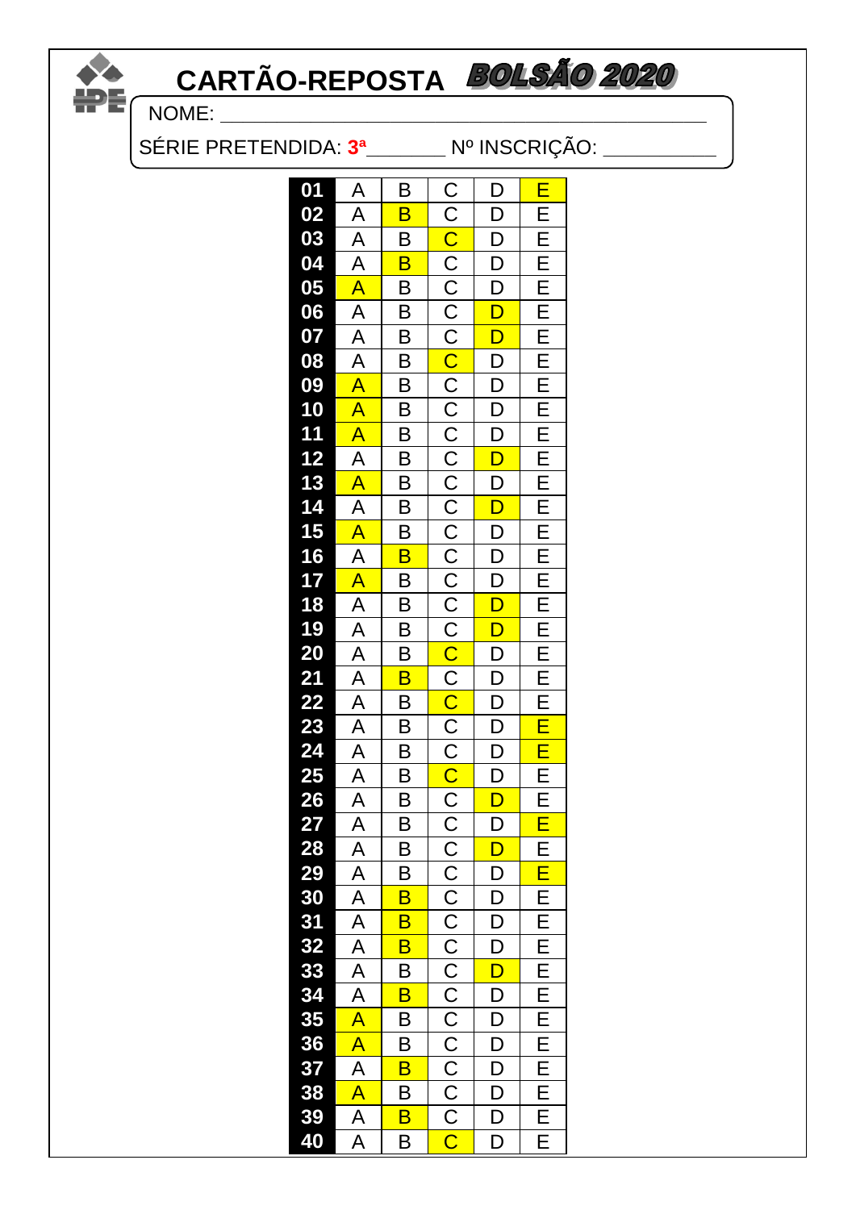# **CARTÃO-REPOSTA**  $\sum_{N=1}^{N}$  CAR

SÉRIE PRETENDIDA: **3ª\_\_\_\_\_\_\_** Nº INSCRIÇÃO: **\_\_\_\_\_\_\_\_\_\_**

| 01       | $\overline{A}$ | В                                            | D                                   | E                                        |
|----------|----------------|----------------------------------------------|-------------------------------------|------------------------------------------|
| 02       |                | $\overline{\mathsf{B}}$                      | $\overline{\mathsf{D}}$             |                                          |
|          |                |                                              | D                                   |                                          |
|          |                | $\frac{B}{B}$                                | $\frac{\overline{D}}{\overline{D}}$ | E E E E<br>E E E                         |
|          |                | $\overline{\mathsf{B}}$                      |                                     |                                          |
|          |                | $\overline{B}$                               | $\overline{\mathsf{D}}$             |                                          |
|          |                |                                              | $\overline{\mathsf{D}}$             |                                          |
|          |                | $\frac{B}{B}$                                | $\overline{D}$                      | $E_{E}$                                  |
|          |                |                                              |                                     |                                          |
|          |                | $\frac{1}{1}$                                | $\frac{D}{D}$                       |                                          |
|          |                |                                              |                                     |                                          |
|          |                | $\overline{\mathsf{B}}$                      |                                     |                                          |
|          |                | B                                            | $\overline{D}$                      |                                          |
|          |                | $\overline{B}$                               | $\overline{\mathsf{D}}$             |                                          |
|          |                |                                              | $D$<br>$D$<br>$D$<br>$D$<br>$D$     | E  E  E  E  E  E  E  E  E                |
|          |                | $\frac{1}{2}$                                |                                     |                                          |
|          |                |                                              |                                     |                                          |
|          |                | $\overline{B}$                               |                                     |                                          |
|          |                | $\overline{B}$                               |                                     |                                          |
|          |                | $\overline{B}$                               | $\frac{\overline{D}}{\overline{D}}$ | E E E <mark>E E</mark><br>E              |
|          |                | $\overline{\mathsf{B}}$                      |                                     |                                          |
|          |                | $\frac{1}{2}$                                | $\frac{D}{D}$                       |                                          |
|          |                |                                              |                                     |                                          |
|          |                |                                              |                                     |                                          |
|          |                | B                                            | $\overline{D}$                      |                                          |
|          |                | $\overline{B}$                               | $\overline{\mathsf{D}}$             |                                          |
|          |                | $\overline{B}$                               | $\overline{D}$                      |                                          |
|          |                |                                              | $\overline{\mathsf{D}}$             |                                          |
|          |                |                                              |                                     |                                          |
|          |                | $\overline{p}$ $\overline{p}$ $\overline{p}$ | $\frac{1}{D}$<br>$\frac{1}{D}$      |                                          |
|          |                |                                              |                                     |                                          |
|          |                | $\overline{\mathsf{B}}$                      | D<br><mark>D</mark>                 |                                          |
|          |                | $\frac{1}{\sqrt{2}}$                         |                                     | E E  <mark>E E E E E E E E E E E </mark> |
|          |                |                                              | $\overline{D}$                      |                                          |
|          |                |                                              | D D                                 |                                          |
|          |                | B<br>B<br>B                                  |                                     |                                          |
| 37<br>38 |                |                                              |                                     |                                          |
|          |                | $\overline{B}$                               | $\overline{\mathsf{D}}$             |                                          |
| 39       |                | $\overline{\mathsf{B}}$                      | $\overline{D}$                      | $rac{E}{E}$                              |
| 40       |                | $\overline{\mathsf{B}}$                      | $\overline{\mathsf{D}}$             |                                          |